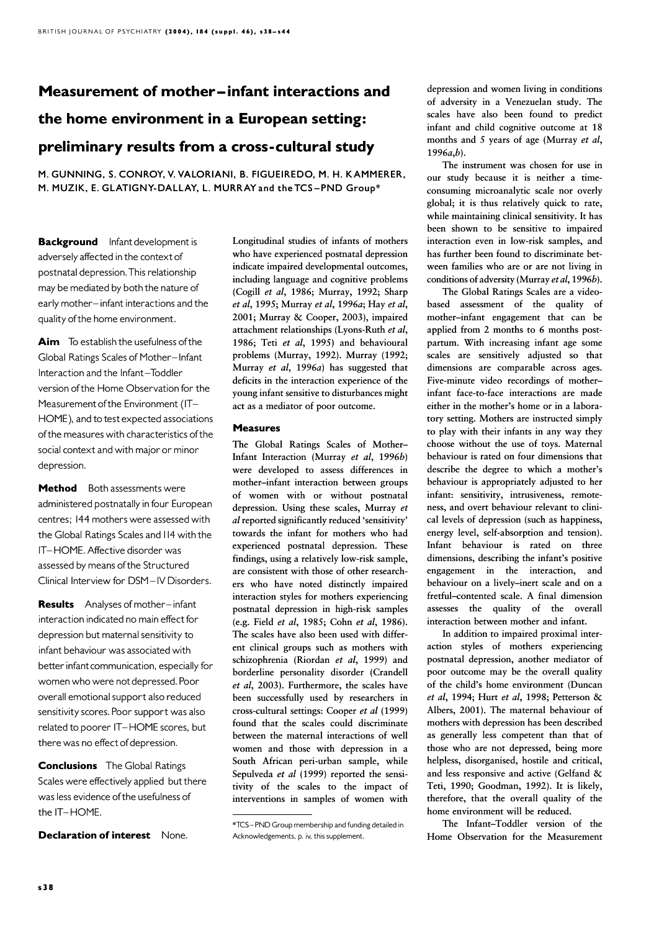# Measurement of mother-infant interactions and the home environment in a European setting: preliminary results from a cross-cultural study

M. GUNNING, S. CONROY, V. VALORIANI, B. FIGUEIREDO, M. H. KAMMERER, M. MUZIK, E. GLATIGNY-DALLAY, L. MURRAY and the TCS-PND Group\*

**Background** Infant development is adversely affected in the context of postnatal depression.This relationship may be mediated by both the nature of early mother-infant interactions and the quality of the home environment.

Aim To establish the usefulness of the Global Ratings Scales of Mother-Infant Interaction and the Infant-Toddler version of the Home Observation for the Measurement of the Environment (IT-HOME), and to test expected associations of the measures with characteristics of the social context and with major or minor depression.

Method Both assessments were administered postnatally in four European centres; 144 mothers were assessed with the Global Ratings Scales and 114 with the IT-HOME. Affective disorder was assessed by means of the Structured Clinical Interview for DSM-IV Disorders.

**Results** Analyses of mother-infant interaction indicated no main effect for depression but maternal sensitivity to infant behaviour was associated with better infant communication, especially for women who were not depressed.Poor overall emotional support also reduced sensitivity scores. Poor support was also related to poorer IT-HOME scores, but there was no effect of depression.

**Conclusions** The Global Ratings Scales were effectively applied but there wasless evidence of the usefulness of the IT-HOME.

Declaration of interest None.

Longitudinal studies of infants of mothers who have experienced postnatal depression indicate impaired developmental outcomes, including language and cognitive problems (Cogill et al, 1986; Murray, 1992; Sharp et al, 1995; Murray et al, 1996a; Hay et al, 2001; Murray & Cooper, 2003), impaired attachment relationships (Lyons-Ruth et al, 1986; Teti et al, 1995) and behavioural problems (Murray, 1992). Murray (1992; Murray et al, 1996a) has suggested that deficits in the interaction experience of the young infant sensitive to disturbances might act as a mediator of poor outcome.

# Measures

The Global Ratings Scales of Mother-Infant Interaction (Murray et al, 1996b) were developed to assess differences in mother–infant interaction between groups of women with or without postnatal depression. Using these scales, Murray et al reported significantly reduced 'sensitivity' towards the infant for mothers who had experienced postnatal depression. These findings, using a relatively low-risk sample, are consistent with those of other researchers who have noted distinctly impaired interaction styles for mothers experiencing postnatal depression in high-risk samples (e.g. Field et al, 1985; Cohn et al, 1986). The scales have also been used with different clinical groups such as mothers with schizophrenia (Riordan et al, 1999) and borderline personality disorder (Crandell et al, 2003). Furthermore, the scales have been successfully used by researchers in cross-cultural settings: Cooper et al (1999) found that the scales could discriminate between the maternal interactions of well women and those with depression in a South African peri-urban sample, while Sepulveda et al (1999) reported the sensitivity of the scales to the impact of interventions in samples of women with

depression and women living in conditions of adversity in a Venezuelan study. The scales have also been found to predict infant and child cognitive outcome at 18 months and 5 years of age (Murray et al,  $1996a,b$ ).

The instrument was chosen for use in our study because it is neither a timeconsuming microanalytic scale nor overly global; it is thus relatively quick to rate, while maintaining clinical sensitivity. It has been shown to be sensitive to impaired interaction even in low-risk samples, and has further been found to discriminate between families who are or are not living in conditions of adversity (Murray et al, 1996b).

The Global Ratings Scales are a videobased assessment of the quality of mother–infant engagement that can be applied from 2 months to 6 months postpartum. With increasing infant age some scales are sensitively adjusted so that dimensions are comparable across ages. Five-minute video recordings of mother– infant face-to-face interactions are made either in the mother's home or in a laboratory setting. Mothers are instructed simply to play with their infants in any way they choose without the use of toys. Maternal behaviour is rated on four dimensions that describe the degree to which a mother's behaviour is appropriately adjusted to her infant: sensitivity, intrusiveness, remoteness, and overt behaviour relevant to clinical levels of depression (such as happiness, energy level, self-absorption and tension). Infant behaviour is rated on three dimensions, describing the infant's positive engagement in the interaction, and behaviour on a lively–inert scale and on a fretful–contented scale. A final dimension assesses the quality of the overall interaction between mother and infant.

In addition to impaired proximal interaction styles of mothers experiencing postnatal depression, another mediator of poor outcome may be the overall quality of the child's home environment (Duncan et al, 1994; Hurt et al, 1998; Petterson & Albers, 2001). The maternal behaviour of mothers with depression has been described as generally less competent than that of those who are not depressed, being more helpless, disorganised, hostile and critical, and less responsive and active (Gelfand & Teti, 1990; Goodman, 1992). It is likely, therefore, that the overall quality of the home environment will be reduced.

The Infant–Toddler version of the Home Observation for the Measurement

<sup>\*</sup>TCS ^ PND Group membership and funding detailedin \*TCS ^ PND Acknowledgements, p. iv, this supplement.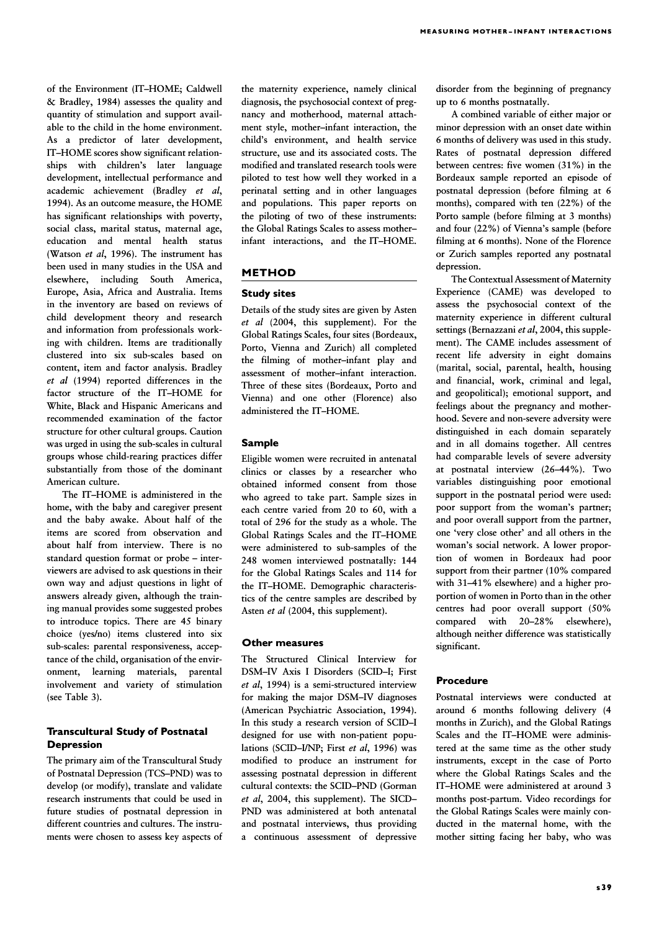of the Environment (IT-HOME; Caldwell & Bradley, 1984) assesses the quality and quantity of stimulation and support available to the child in the home environment. As a predictor of later development, IT–HOME scores show significant relationships with children's later language development, intellectual performance and academic achievement (Bradley et al, 1994). As an outcome measure, the HOME has significant relationships with poverty, social class, marital status, maternal age, education and mental health status (Watson et al, 1996). The instrument has been used in many studies in the USA and elsewhere, including South America, Europe, Asia, Africa and Australia. Items in the inventory are based on reviews of child development theory and research and information from professionals working with children. Items are traditionally clustered into six sub-scales based on content, item and factor analysis. Bradley et al (1994) reported differences in the factor structure of the IT–HOME for White, Black and Hispanic Americans and recommended examination of the factor structure for other cultural groups. Caution was urged in using the sub-scales in cultural groups whose child-rearing practices differ substantially from those of the dominant American culture.

The IT–HOME is administered in the home, with the baby and caregiver present and the baby awake. About half of the items are scored from observation and about half from interview. There is no standard question format or probe - interviewers are advised to ask questions in their own way and adjust questions in light of answers already given, although the training manual provides some suggested probes to introduce topics. There are 45 binary choice (yes/no) items clustered into six sub-scales: parental responsiveness, acceptance of the child, organisation of the environment, learning materials, parental involvement and variety of stimulation (see Table 3).

# Transcultural Study of Postnatal Depression

The primary aim of the Transcultural Study of Postnatal Depression (TCS–PND) was to develop (or modify), translate and validate research instruments that could be used in future studies of postnatal depression in different countries and cultures. The instruments were chosen to assess key aspects of the maternity experience, namely clinical diagnosis, the psychosocial context of pregnancy and motherhood, maternal attachment style, mother–infant interaction, the child's environment, and health service structure, use and its associated costs. The modified and translated research tools were piloted to test how well they worked in a perinatal setting and in other languages and populations. This paper reports on the piloting of two of these instruments: the Global Ratings Scales to assess mother– infant interactions, and the IT–HOME.

## METHOD

#### Study sites

Details of the study sites are given by Asten et al (2004, this supplement). For the Global Ratings Scales, four sites (Bordeaux, Porto, Vienna and Zurich) all completed the filming of mother–infant play and assessment of mother–infant interaction. Three of these sites (Bordeaux, Porto and Vienna) and one other (Florence) also administered the IT–HOME.

# Sample

Eligible women were recruited in antenatal clinics or classes by a researcher who obtained informed consent from those who agreed to take part. Sample sizes in each centre varied from 20 to 60, with a total of 296 for the study as a whole. The Global Ratings Scales and the IT–HOME were administered to sub-samples of the 248 women interviewed postnatally: 144 for the Global Ratings Scales and 114 for the IT–HOME. Demographic characteristics of the centre samples are described by Asten et al (2004, this supplement).

## Other measures

The Structured Clinical Interview for DSM–IV Axis I Disorders (SCID–I; First et al, 1994) is a semi-structured interview for making the major DSM–IV diagnoses (American Psychiatric Association, 1994). In this study a research version of SCID–I designed for use with non-patient populations (SCID–I/NP; First et al, 1996) was modified to produce an instrument for assessing postnatal depression in different cultural contexts: the SCID–PND (Gorman et al, 2004, this supplement). The SICD– PND was administered at both antenatal and postnatal interviews, thus providing a continuous assessment of depressive disorder from the beginning of pregnancy up to 6 months postnatally.

A combined variable of either major or minor depression with an onset date within 6 months of delivery was used in this study. Rates of postnatal depression differed between centres: five women (31%) in the Bordeaux sample reported an episode of postnatal depression (before filming at 6 months), compared with ten (22%) of the Porto sample (before filming at 3 months) and four (22%) of Vienna's sample (before filming at 6 months). None of the Florence or Zurich samples reported any postnatal depression.

The Contextual Assessment of Maternity Experience (CAME) was developed to assess the psychosocial context of the maternity experience in different cultural settings (Bernazzani et al, 2004, this supplement). The CAME includes assessment of recent life adversity in eight domains (marital, social, parental, health, housing and financial, work, criminal and legal, and geopolitical); emotional support, and feelings about the pregnancy and motherhood. Severe and non-severe adversity were distinguished in each domain separately and in all domains together. All centres had comparable levels of severe adversity at postnatal interview (26–44%). Two variables distinguishing poor emotional support in the postnatal period were used: poor support from the woman's partner; and poor overall support from the partner, one 'very close other' and all others in the woman's social network. A lower proportion of women in Bordeaux had poor support from their partner (10% compared with 31–41% elsewhere) and a higher proportion of women in Porto than in the other centres had poor overall support (50% compared with 20–28% elsewhere), although neither difference was statistically significant.

## **Procedure**

Postnatal interviews were conducted at around 6 months following delivery (4 months in Zurich), and the Global Ratings Scales and the IT–HOME were administered at the same time as the other study instruments, except in the case of Porto where the Global Ratings Scales and the IT–HOME were administered at around 3 months post-partum. Video recordings for the Global Ratings Scales were mainly conducted in the maternal home, with the mother sitting facing her baby, who was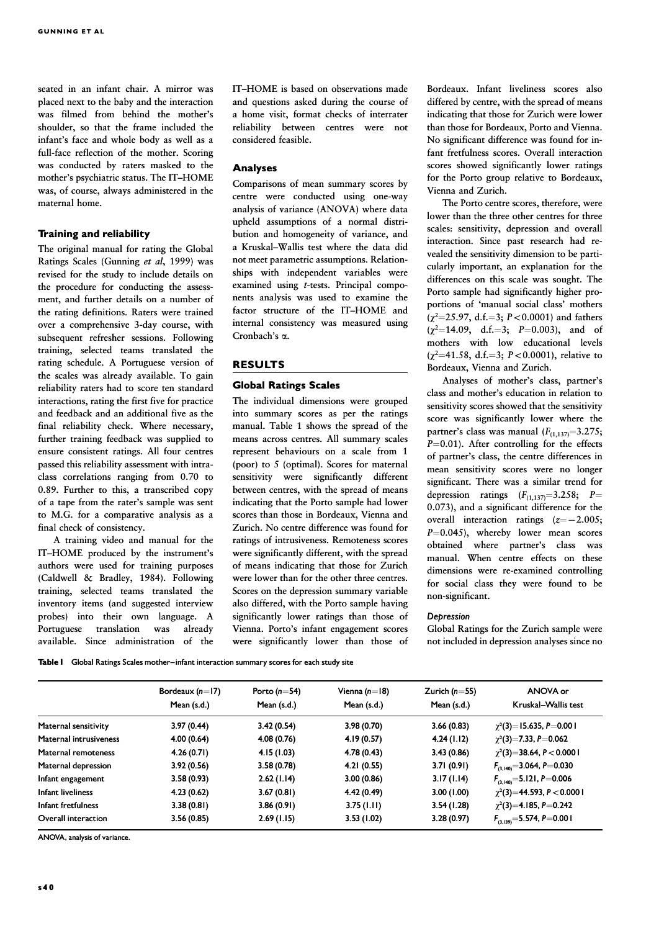seated in an infant chair. A mirror was placed next to the baby and the interaction was filmed from behind the mother's shoulder, so that the frame included the infant's face and whole body as well as a full-face reflection of the mother. Scoring was conducted by raters masked to the mother's psychiatric status. The IT–HOME was, of course, always administered in the maternal home.

## Training and reliability

The original manual for rating the Global Ratings Scales (Gunning et al, 1999) was revised for the study to include details on the procedure for conducting the assessment, and further details on a number of the rating definitions. Raters were trained over a comprehensive 3-day course, with subsequent refresher sessions. Following training, selected teams translated the rating schedule. A Portuguese version of the scales was already available. To gain reliability raters had to score ten standard interactions, rating the first five for practice and feedback and an additional five as the final reliability check. Where necessary, further training feedback was supplied to ensure consistent ratings. All four centres passed this reliability assessment with intraclass correlations ranging from 0.70 to 0.89. Further to this, a transcribed copy of a tape from the rater's sample was sent to M.G. for a comparative analysis as a final check of consistency.

A training video and manual for the IT–HOME produced by the instrument's authors were used for training purposes (Caldwell & Bradley, 1984). Following training, selected teams translated the inventory items (and suggested interview probes) into their own language. A Portuguese translation was already available. Since administration of the

IT–HOME is based on observations made and questions asked during the course of a home visit, format checks of interrater reliability between centres were not considered feasible.

# Analyses

Comparisons of mean summary scores by centre were conducted using one-way analysis of variance (ANOVA) where data upheld assumptions of a normal distribution and homogeneity of variance, and a Kruskal-Wallis test where the data did not meet parametric assumptions. Relationships with independent variables were examined using t-tests. Principal components analysis was used to examine the factor structure of the IT–HOME and internal consistency was measured using Cronbach's a.

## RESULTS

# Global Ratings Scales

The individual dimensions were grouped into summary scores as per the ratings manual. Table 1 shows the spread of the means across centres. All summary scales represent behaviours on a scale from 1 (poor) to 5 (optimal). Scores for maternal sensitivity were significantly different between centres, with the spread of means indicating that the Porto sample had lower scores than those in Bordeaux, Vienna and Zurich. No centre difference was found for ratings of intrusiveness. Remoteness scores were significantly different, with the spread of means indicating that those for Zurich were lower than for the other three centres. Scores on the depression summary variable also differed, with the Porto sample having significantly lower ratings than those of Vienna. Porto's infant engagement scores were significantly lower than those of

Bordeaux. Infant liveliness scores also differed by centre, with the spread of means indicating that those for Zurich were lower than those for Bordeaux, Porto and Vienna. No significant difference was found for infant fretfulness scores. Overall interaction scores showed significantly lower ratings for the Porto group relative to Bordeaux, Vienna and Zurich.

The Porto centre scores, therefore, were lower than the three other centres for three scales: sensitivity, depression and overall interaction. Since past research had revealed the sensitivity dimension to be particularly important, an explanation for the differences on this scale was sought. The Porto sample had significantly higher proportions of 'manual social class' mothers ( $\chi^2$ =25.97, d.f.=3; P<0.0001) and fathers  $(\chi^2=14.09, d.f.=3; P=0.003)$ , and of mothers with low educational levels ( $\chi^2$ =41.58, d.f.=3; P<0.0001), relative to Bordeaux, Vienna and Zurich.

Analyses of mother's class, partner's class and mother's education in relation to sensitivity scores showed that the sensitivity score was significantly lower where the partner's class was manual  $(F_{(1,137)}=3.275;$  $P=0.01$ ). After controlling for the effects of partner's class, the centre differences in mean sensitivity scores were no longer significant. There was a similar trend for depression ratings  $(F_{(1,137)}=3.258; P=$ 0.073), and a significant difference for the overall interaction ratings  $(z=-2.005;$  $P=0.045$ ), whereby lower mean scores obtained where partner's class was manual. When centre effects on these dimensions were re-examined controlling for social class they were found to be non-significant.

#### Depression

Global Ratings for the Zurich sample were not included in depression analyses since no

Table I Global Ratings Scales mother-infant interaction summary scores for each study site

|                               | Bordeaux $(n=17)$ | Porto ( $n = 54$ ) | Vienna $(n=18)$ | Zurich ( $n=55$ ) | ANOVA or                              |  |
|-------------------------------|-------------------|--------------------|-----------------|-------------------|---------------------------------------|--|
|                               | Mean (s.d.)       | Mean (s.d.)        | Mean (s.d.)     | Mean (s.d.)       | Kruskal-Wallis test                   |  |
| Maternal sensitivity          | 3.97(0.44)        | 3.42(0.54)         | 3.98(0.70)      | 3.66(0.83)        | $\gamma^2(3) = 15.635, P = 0.001$     |  |
| <b>Maternal intrusiveness</b> | 4.00(0.64)        | 4.08(0.76)         | 4.19(0.57)      | 4.24(1.12)        | $\gamma^2(3)=7.33, P=0.062$           |  |
| Maternal remoteness           | 4.26(0.71)        | 4.15(1.03)         | 4.78(0.43)      | 3.43(0.86)        | $\gamma^2(3)=38.64, P<0.0001$         |  |
| Maternal depression           | 3.92(0.56)        | 3.58(0.78)         | 4.21(0.55)      | 3.71(0.91)        | $F_{(3,140)} = 3.064, P = 0.030$      |  |
| Infant engagement             | 3.58(0.93)        | 2.62(1.14)         | 3.00(0.86)      | 3.17(1.14)        | $F_{(3,140)} = 5.121, P = 0.006$      |  |
| Infant liveliness             | 4.23(0.62)        | 3.67(0.81)         | 4.42(0.49)      | 3.00(1.00)        | $\gamma^2(3) = 44.593$ , P $< 0.0001$ |  |
| Infant fretfulness            | 3.38(0.81)        | 3.86(0.91)         | 3.75(1.11)      | 3.54(1.28)        | $\gamma^2(3)=4.185, P=0.242$          |  |
| Overall interaction           | 3.56(0.85)        | 2.69(1.15)         | 3.53(1.02)      | 3.28(0.97)        | $F_{(3,139)} = 5.574, P = 0.001$      |  |

ANOVA, analysis of variance.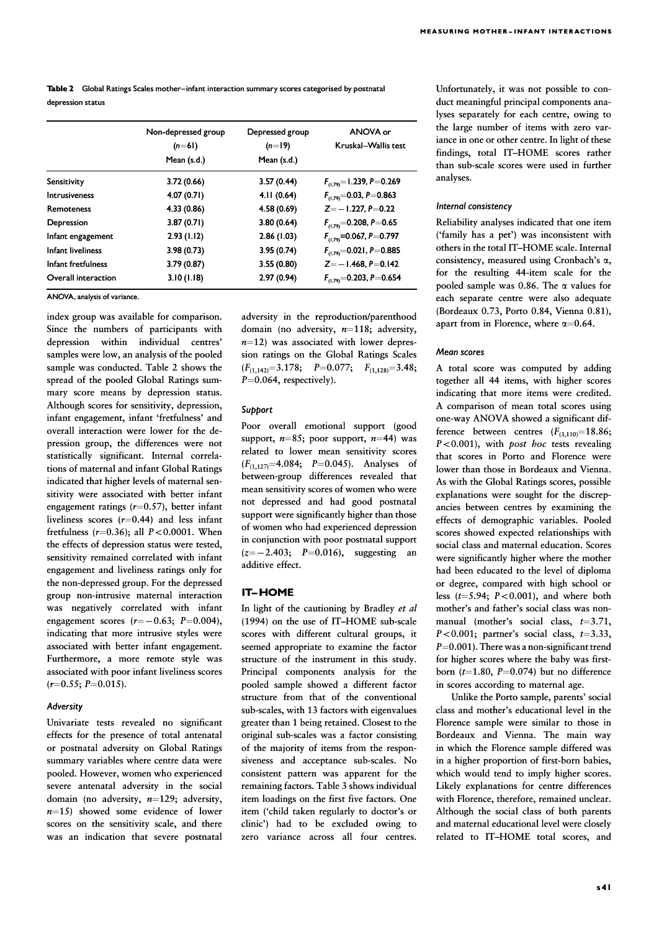Table 2 Global Ratings Scales mother-infant interaction summary scores categorised by postnatal depression status

|                          | Non-depressed group | Depressed group | ANOVA or<br>Kruskal-Wallis test |  |  |
|--------------------------|---------------------|-----------------|---------------------------------|--|--|
|                          | $(n=61)$            | $(n=19)$        |                                 |  |  |
|                          | Mean (s.d.)         | Mean (s.d.)     |                                 |  |  |
| Sensitivity              | 3.72(0.66)          | 3.57(0.44)      | $F_{(1,79)} = 1.239, P = 0.269$ |  |  |
| <b>Intrusiveness</b>     | 4.07(0.71)          | 4.11(0.64)      | $F_{(1,79)} = 0.03, P = 0.863$  |  |  |
| <b>Remoteness</b>        | 4.33(0.86)          | 4.58(0.69)      | $Z = -1.227, P = 0.22$          |  |  |
| Depression               | 3.87(0.71)          | 3.80(0.64)      | $F_{(1,79)} = 0.208, P = 0.65$  |  |  |
| Infant engagement        | 2.93(1.12)          | 2.86(1.03)      | $F_{(1.79)} = 0.067, P = 0.797$ |  |  |
| <b>Infant liveliness</b> | 3.98(0.73)          | 3.95(0.74)      | $F_{(1,79)} = 0.021, P = 0.885$ |  |  |
| Infant fretfulness       | 3.79(0.87)          | 3.55(0.80)      | $Z = -1.468, P = 0.142$         |  |  |
| Overall interaction      | 3.10(1.18)          | 2.97(0.94)      | $F_{(1,79)} = 0.203, P = 0.654$ |  |  |

ANOVA, analysis of variance.

index group was available for comparison. Since the numbers of participants with depression within individual centres' samples were low, an analysis of the pooled sample was conducted. Table 2 shows the spread of the pooled Global Ratings summary score means by depression status. Although scores for sensitivity, depression, infant engagement, infant 'fretfulness' and overall interaction were lower for the depression group, the differences were not statistically significant. Internal correlations of maternal and infant Global Ratings indicated that higher levels of maternal sensitivity were associated with better infant engagement ratings  $(r=0.57)$ , better infant liveliness scores  $(r=0.44)$  and less infant fretfulness ( $r=0.36$ ); all  $P<0.0001$ . When the effects of depression status were tested, sensitivity remained correlated with infant engagement and liveliness ratings only for the non-depressed group. For the depressed group non-intrusive maternal interaction was negatively correlated with infant engagement scores  $(r=-0.63; P=0.004)$ , indicating that more intrusive styles were associated with better infant engagement. Furthermore, a more remote style was associated with poor infant liveliness scores  $(r=0.55; P=0.015).$ 

#### Adversity

Univariate tests revealed no significant effects for the presence of total antenatal or postnatal adversity on Global Ratings summary variables where centre data were pooled. However, women who experienced severe antenatal adversity in the social domain (no adversity,  $n=129$ ; adversity,  $n=15$ ) showed some evidence of lower scores on the sensitivity scale, and there was an indication that severe postnatal adversity in the reproduction/parenthood domain (no adversity,  $n=118$ ; adversity,  $n=12$ ) was associated with lower depression ratings on the Global Ratings Scales  $(F_{(1,142)}=3.178; P=0.077; F_{(1,128)}=3.48;$  $P=0.064$ , respectively).

#### Support

Poor overall emotional support (good support,  $n=85$ ; poor support,  $n=44$ ) was related to lower mean sensitivity scores  $(F_{(1,127)}=4.084; P=0.045)$ . Analyses of between-group differences revealed that mean sensitivity scores of women who were not depressed and had good postnatal support were significantly higher than those of women who had experienced depression in conjunction with poor postnatal support  $(z=-2.403; P=0.016)$ , suggesting an additive effect.

## **IT-HOME**

In light of the cautioning by Bradley et al. (1994) on the use of IT–HOME sub-scale scores with different cultural groups, it seemed appropriate to examine the factor structure of the instrument in this study. Principal components analysis for the pooled sample showed a different factor structure from that of the conventional sub-scales, with 13 factors with eigenvalues greater than 1 being retained. Closest to the original sub-scales was a factor consisting of the majority of items from the responsiveness and acceptance sub-scales. No consistent pattern was apparent for the remaining factors. Table 3 shows individual item loadings on the first five factors. One item ('child taken regularly to doctor's or clinic') had to be excluded owing to zero variance across all four centres.

Unfortunately, it was not possible to conduct meaningful principal components analyses separately for each centre, owing to the large number of items with zero variance in one or other centre. In light of these findings, total IT–HOME scores rather than sub-scale scores were used in further analyses.

#### Internal consistency

Reliability analyses indicated that one item ('family has a pet') was inconsistent with others in the total IT–HOME scale. Internal consistency, measured using Cronbach's  $\alpha$ , for the resulting 44-item scale for the pooled sample was 0.86. The  $\alpha$  values for each separate centre were also adequate (Bordeaux 0.73, Porto 0.84, Vienna 0.81), apart from in Florence, where  $\alpha$ =0.64.

## Mean scores

A total score was computed by adding together all 44 items, with higher scores indicating that more items were credited. A comparison of mean total scores using one-way ANOVA showed a significant difference between centres  $(F_{(3,110)}=18.86;$  $P < 0.001$ ), with *post hoc* tests revealing that scores in Porto and Florence were lower than those in Bordeaux and Vienna. As with the Global Ratings scores, possible explanations were sought for the discrepancies between centres by examining the effects of demographic variables. Pooled scores showed expected relationships with social class and maternal education. Scores were significantly higher where the mother had been educated to the level of diploma or degree, compared with high school or less  $(t=5.94; P<0.001)$ , and where both mother's and father's social class was nonmanual (mother's social class,  $t=3.71$ ,  $P<0.001$ ; partner's social class,  $t=3.33$ ,  $P=0.001$ ). There was a non-significant trend for higher scores where the baby was firstborn ( $t=1.80$ ,  $P=0.074$ ) but no difference in scores according to maternal age.

Unlike the Porto sample, parents' social class and mother's educational level in the Florence sample were similar to those in Bordeaux and Vienna. The main way in which the Florence sample differed was in a higher proportion of first-born babies, which would tend to imply higher scores. Likely explanations for centre differences with Florence, therefore, remained unclear. Although the social class of both parents and maternal educational level were closely related to IT–HOME total scores, and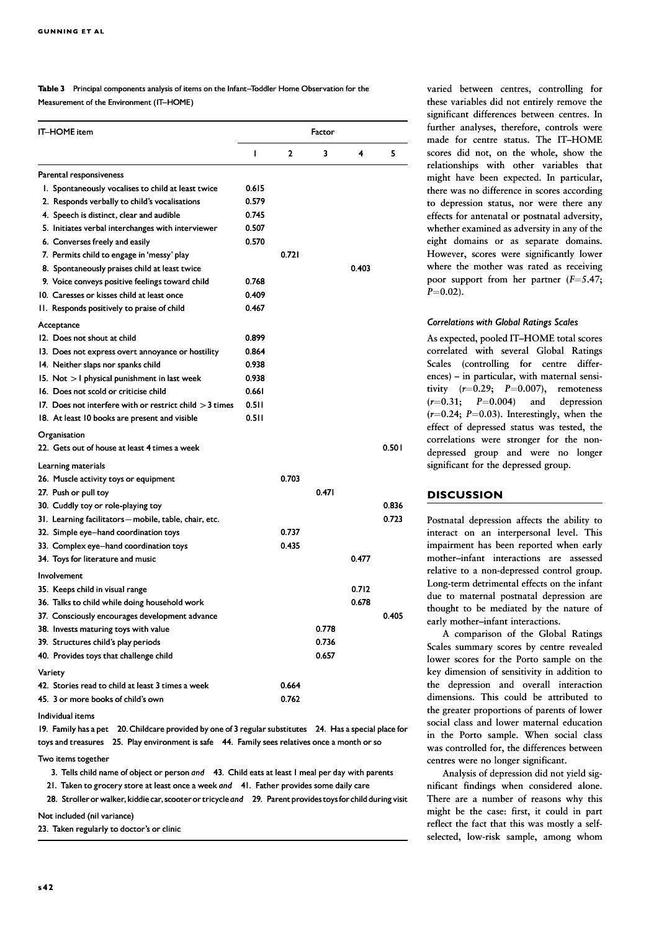Table 3 Principal components analysis of items on the Infant-Toddler Home Observation for the Measurement of the Environment (IT-HOME)

| <b>IT-HOME</b> item                                       |       | Factor       |       |       |       |  |
|-----------------------------------------------------------|-------|--------------|-------|-------|-------|--|
|                                                           | I     | $\mathbf{2}$ | 3     | 4     | 5     |  |
| Parental responsiveness                                   |       |              |       |       |       |  |
| I. Spontaneously vocalises to child at least twice        | 0.615 |              |       |       |       |  |
| 2. Responds verbally to child's vocalisations             | 0.579 |              |       |       |       |  |
| 4. Speech is distinct, clear and audible                  | 0.745 |              |       |       |       |  |
| 5. Initiates verbal interchanges with interviewer         | 0.507 |              |       |       |       |  |
| 6. Converses freely and easily                            | 0.570 |              |       |       |       |  |
| 7. Permits child to engage in 'messy' play                |       | 0.721        |       |       |       |  |
| 8. Spontaneously praises child at least twice             |       |              |       | 0.403 |       |  |
| 9. Voice conveys positive feelings toward child           | 0.768 |              |       |       |       |  |
| 10. Caresses or kisses child at least once                | 0.409 |              |       |       |       |  |
| 11. Responds positively to praise of child                | 0.467 |              |       |       |       |  |
| Acceptance                                                |       |              |       |       |       |  |
| 12. Does not shout at child                               | 0.899 |              |       |       |       |  |
| 13. Does not express overt annoyance or hostility         | 0.864 |              |       |       |       |  |
| 14. Neither slaps nor spanks child                        | 0.938 |              |       |       |       |  |
| 15. Not $>$ 1 physical punishment in last week            | 0.938 |              |       |       |       |  |
| 16. Does not scold or criticise child                     | 0.661 |              |       |       |       |  |
| 17. Does not interfere with or restrict child $>$ 3 times | 0.511 |              |       |       |       |  |
| 18. At least 10 books are present and visible             | 0.511 |              |       |       |       |  |
| Organisation                                              |       |              |       |       |       |  |
| 22. Gets out of house at least 4 times a week             |       |              |       |       | 0.501 |  |
| Learning materials                                        |       |              |       |       |       |  |
| 26. Muscle activity toys or equipment                     |       | 0.703        |       |       |       |  |
| 27. Push or pull toy                                      |       |              | 0.471 |       |       |  |
| 30. Cuddly toy or role-playing toy                        |       |              |       |       | 0.836 |  |
| 31. Learning facilitators - mobile, table, chair, etc.    |       |              |       |       | 0.723 |  |
| 32. Simple eye-hand coordination toys                     |       | 0.737        |       |       |       |  |
| 33. Complex eye-hand coordination toys                    |       | 0.435        |       |       |       |  |
| 34. Toys for literature and music                         |       |              |       | 0.477 |       |  |
| Involvement                                               |       |              |       |       |       |  |
| 35. Keeps child in visual range                           |       |              |       | 0.712 |       |  |
| 36.  Talks to child while doing household work            |       |              |       | 0.678 |       |  |
| 37. Consciously encourages development advance            |       |              |       |       | 0.405 |  |
| 38. Invests maturing toys with value                      |       |              | 0.778 |       |       |  |
| 39. Structures child's play periods                       |       |              | 0.736 |       |       |  |
| 40. Provides toys that challenge child                    |       |              | 0.657 |       |       |  |
| Variety                                                   |       |              |       |       |       |  |
| 42. Stories read to child at least 3 times a week         |       | 0.664        |       |       |       |  |
| 45. 3 or more books of child's own                        |       | 0.762        |       |       |       |  |

Individual items

19. Family has a pet 20. Childcare provided by one of 3 regular substitutes 24. Has a special place for toys and treasures 25. Play environment is safe 44. Family sees relatives once a month or so

Two items together

3. Tells child name of object or person and 43. Child eats at least 1 meal per day with parents

21. Taken to grocery store at least once a week and 41. Father provides some daily care

28. Stroller or walker, kiddie car, scooter or tricycle and 29. Parent provides toys for child during visit

Not included (nil variance)

23. Taken regularly to doctor's or clinic

varied between centres, controlling for these variables did not entirely remove the significant differences between centres. In further analyses, therefore, controls were made for centre status. The IT–HOME scores did not, on the whole, show the relationships with other variables that might have been expected. In particular, there was no difference in scores according to depression status, nor were there any effects for antenatal or postnatal adversity, whether examined as adversity in any of the eight domains or as separate domains. However, scores were significantly lower where the mother was rated as receiving poor support from her partner  $(F=5.47;$  $P=0.02$ ).

## Correlations with Global Ratings Scales

As expected, pooled IT–HOME total scores correlated with several Global Ratings Scales (controlling for centre differences) – in particular, with maternal sensitivity  $(r=0.29; P=0.007)$ , remoteness  $(r=0.31; P=0.004)$  and depression  $(r=0.24; P=0.03)$ . Interestingly, when the effect of depressed status was tested, the correlations were stronger for the nondepressed group and were no longer significant for the depressed group.

## **DISCUSSION**

Postnatal depression affects the ability to interact on an interpersonal level. This impairment has been reported when early mother–infant interactions are assessed relative to a non-depressed control group. Long-term detrimental effects on the infant due to maternal postnatal depression are thought to be mediated by the nature of early mother–infant interactions.

A comparison of the Global Ratings Scales summary scores by centre revealed lower scores for the Porto sample on the key dimension of sensitivity in addition to the depression and overall interaction dimensions. This could be attributed to the greater proportions of parents of lower social class and lower maternal education in the Porto sample. When social class was controlled for, the differences between centres were no longer significant.

Analysis of depression did not yield significant findings when considered alone. There are a number of reasons why this might be the case: first, it could in part reflect the fact that this was mostly a selfselected, low-risk sample, among whom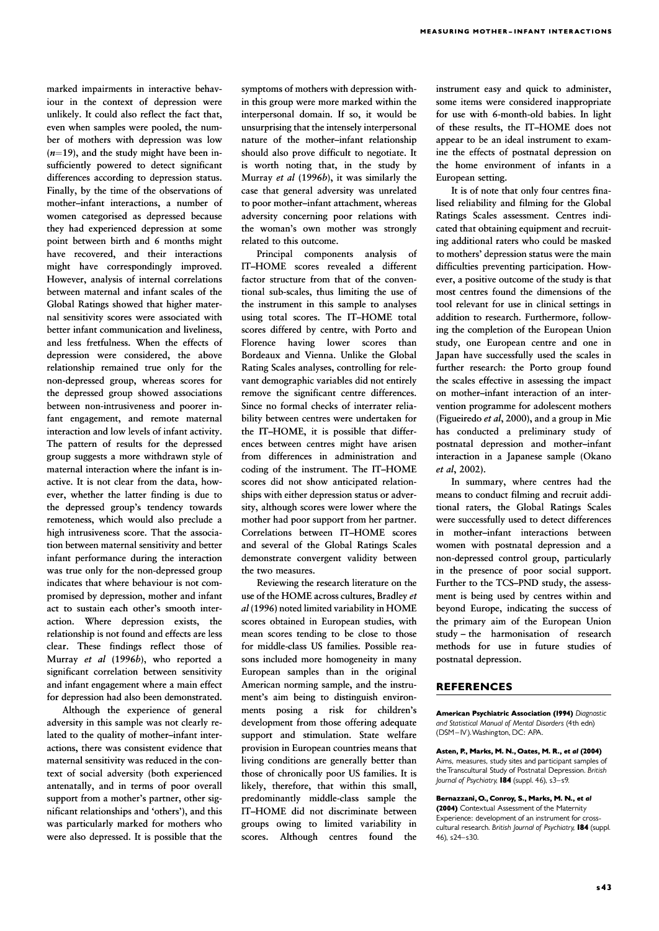marked impairments in interactive behaviour in the context of depression were unlikely. It could also reflect the fact that, even when samples were pooled, the number of mothers with depression was low  $(n=19)$ , and the study might have been insufficiently powered to detect significant differences according to depression status. Finally, by the time of the observations of mother–infant interactions, a number of women categorised as depressed because they had experienced depression at some point between birth and 6 months might have recovered, and their interactions might have correspondingly improved. However, analysis of internal correlations between maternal and infant scales of the Global Ratings showed that higher maternal sensitivity scores were associated with better infant communication and liveliness, and less fretfulness. When the effects of depression were considered, the above relationship remained true only for the non-depressed group, whereas scores for the depressed group showed associations between non-intrusiveness and poorer infant engagement, and remote maternal interaction and low levels of infant activity. The pattern of results for the depressed group suggests a more withdrawn style of maternal interaction where the infant is inactive. It is not clear from the data, however, whether the latter finding is due to the depressed group's tendency towards remoteness, which would also preclude a high intrusiveness score. That the association between maternal sensitivity and better infant performance during the interaction was true only for the non-depressed group indicates that where behaviour is not compromised by depression, mother and infant act to sustain each other's smooth interaction. Where depression exists, the relationship is not found and effects are less clear. These findings reflect those of Murray et al (1996b), who reported a significant correlation between sensitivity and infant engagement where a main effect for depression had also been demonstrated.

Although the experience of general adversity in this sample was not clearly related to the quality of mother–infant interactions, there was consistent evidence that maternal sensitivity was reduced in the context of social adversity (both experienced antenatally, and in terms of poor overall support from a mother's partner, other significant relationships and 'others'), and this was particularly marked for mothers who were also depressed. It is possible that the

symptoms of mothers with depression within this group were more marked within the interpersonal domain. If so, it would be unsurprising that the intensely interpersonal nature of the mother–infant relationship should also prove difficult to negotiate. It is worth noting that, in the study by Murray et al (1996b), it was similarly the case that general adversity was unrelated to poor mother–infant attachment, whereas adversity concerning poor relations with the woman's own mother was strongly related to this outcome.

Principal components analysis of IT–HOME scores revealed a different factor structure from that of the conventional sub-scales, thus limiting the use of the instrument in this sample to analyses using total scores. The IT–HOME total scores differed by centre, with Porto and Florence having lower scores than Bordeaux and Vienna. Unlike the Global Rating Scales analyses, controlling for relevant demographic variables did not entirely remove the significant centre differences. Since no formal checks of interrater reliability between centres were undertaken for the IT–HOME, it is possible that differences between centres might have arisen from differences in administration and coding of the instrument. The IT–HOME scores did not show anticipated relationships with either depression status or adversity, although scores were lower where the mother had poor support from her partner. Correlations between IT–HOME scores and several of the Global Ratings Scales demonstrate convergent validity between the two measures.

Reviewing the research literature on the use of the HOME across cultures, Bradley et  $al$  (1996) noted limited variability in HOME scores obtained in European studies, with mean scores tending to be close to those for middle-class US families. Possible reasons included more homogeneity in many European samples than in the original American norming sample, and the instrument's aim being to distinguish environments posing a risk for children's development from those offering adequate support and stimulation. State welfare provision in European countries means that living conditions are generally better than those of chronically poor US families. It is likely, therefore, that within this small, predominantly middle-class sample the IT–HOME did not discriminate between groups owing to limited variability in scores. Although centres found the

instrument easy and quick to administer, some items were considered inappropriate for use with 6-month-old babies. In light of these results, the IT–HOME does not appear to be an ideal instrument to examine the effects of postnatal depression on the home environment of infants in a European setting.

It is of note that only four centres finalised reliability and filming for the Global Ratings Scales assessment. Centres indicated that obtaining equipment and recruiting additional raters who could be masked to mothers' depression status were the main difficulties preventing participation. However, a positive outcome of the study is that most centres found the dimensions of the tool relevant for use in clinical settings in addition to research. Furthermore, following the completion of the European Union study, one European centre and one in Japan have successfully used the scales in further research: the Porto group found the scales effective in assessing the impact on mother–infant interaction of an intervention programme for adolescent mothers (Figueiredo et al, 2000), and a group in Mie has conducted a preliminary study of postnatal depression and mother–infant interaction in a Japanese sample (Okano et al, 2002).

In summary, where centres had the means to conduct filming and recruit additional raters, the Global Ratings Scales were successfully used to detect differences in mother–infant interactions between women with postnatal depression and a non-depressed control group, particularly in the presence of poor social support. Further to the TCS–PND study, the assessment is being used by centres within and beyond Europe, indicating the success of the primary aim of the European Union study – the harmonisation of research methods for use in future studies of postnatal depression.

## **REFERENCES**

American Psychiatric Association (1994) Diagnostic and Statistical Manual of Mental Disorders (4th edn) (DSM-IV). Washington, DC: APA.

Asten, P., Marks, M. N., Oates, M. R., et al (2004) Aims, measures, study sites and participant samples of the Transcultural Study of Postnatal Depression. British Journal of Psychiatry,  $184$  (suppl. 46), s3-s9.

Bernazzani, O., Conroy, S., Marks, M. N., et al (2004) Contextual Assessment of the Maternity Experience: development of an instrument for crosscultural research. British Journal of Psychiatry, 184 (suppl. 46), s24-s30.